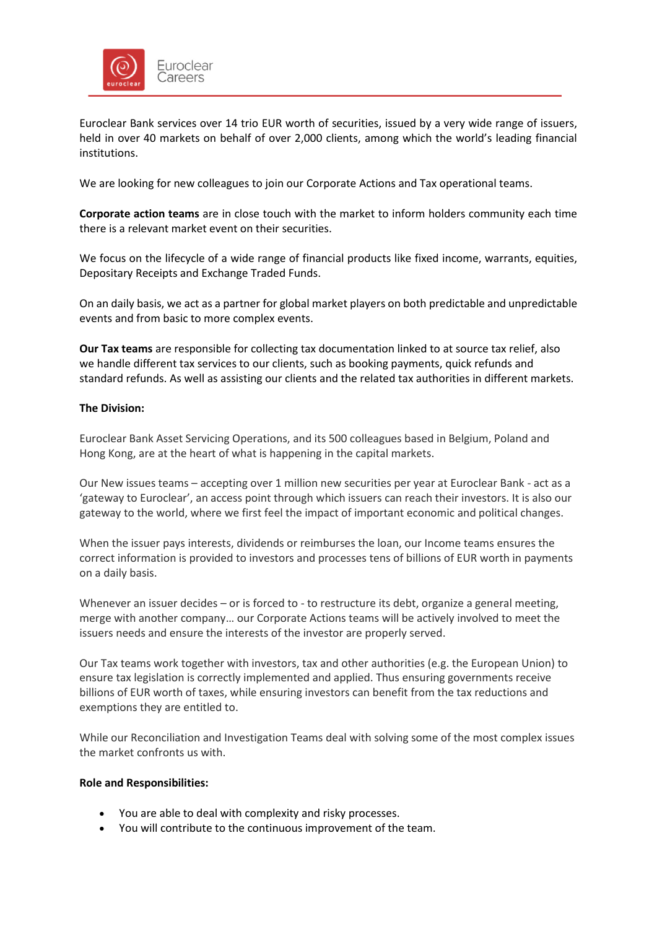

Euroclear Bank services over 14 trio EUR worth of securities, issued by a very wide range of issuers, held in over 40 markets on behalf of over 2,000 clients, among which the world's leading financial institutions.

We are looking for new colleagues to join our Corporate Actions and Tax operational teams.

**Corporate action teams** are in close touch with the market to inform holders community each time there is a relevant market event on their securities.

We focus on the lifecycle of a wide range of financial products like fixed income, warrants, equities, Depositary Receipts and Exchange Traded Funds.

On an daily basis, we act as a partner for global market players on both predictable and unpredictable events and from basic to more complex events.

**Our Tax teams** are responsible for collecting tax documentation linked to at source tax relief, also we handle different tax services to our clients, such as booking payments, quick refunds and standard refunds. As well as assisting our clients and the related tax authorities in different markets.

# **The Division:**

Euroclear Bank Asset Servicing Operations, and its 500 colleagues based in Belgium, Poland and Hong Kong, are at the heart of what is happening in the capital markets.

Our New issues teams – accepting over 1 million new securities per year at Euroclear Bank - act as a 'gateway to Euroclear', an access point through which issuers can reach their investors. It is also our gateway to the world, where we first feel the impact of important economic and political changes.

When the issuer pays interests, dividends or reimburses the loan, our Income teams ensures the correct information is provided to investors and processes tens of billions of EUR worth in payments on a daily basis.

Whenever an issuer decides – or is forced to - to restructure its debt, organize a general meeting, merge with another company… our Corporate Actions teams will be actively involved to meet the issuers needs and ensure the interests of the investor are properly served.

Our Tax teams work together with investors, tax and other authorities (e.g. the European Union) to ensure tax legislation is correctly implemented and applied. Thus ensuring governments receive billions of EUR worth of taxes, while ensuring investors can benefit from the tax reductions and exemptions they are entitled to.

While our Reconciliation and Investigation Teams deal with solving some of the most complex issues the market confronts us with.

### **Role and Responsibilities:**

- You are able to deal with complexity and risky processes.
- You will contribute to the continuous improvement of the team.